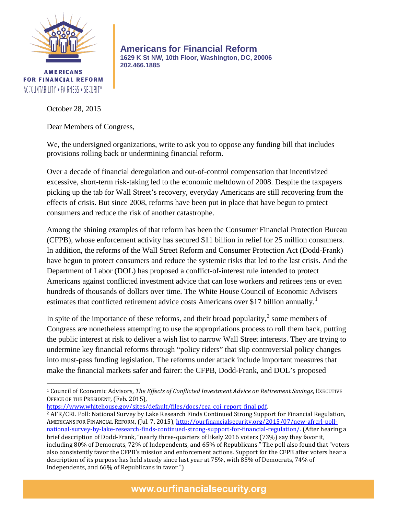

**AMERICANS FOR FINANCIAL REFORM** ACCOUNTABILITY \* FAIRNESS \* SECURITY

 $\overline{\phantom{a}}$ 

**Americans for Financial Reform 1629 K St NW, 10th Floor, Washington, DC, 20006 202.466.1885**

October 28, 2015

Dear Members of Congress,

We, the undersigned organizations, write to ask you to oppose any funding bill that includes provisions rolling back or undermining financial reform.

Over a decade of financial deregulation and out-of-control compensation that incentivized excessive, short-term risk-taking led to the economic meltdown of 2008. Despite the taxpayers picking up the tab for Wall Street's recovery, everyday Americans are still recovering from the effects of crisis. But since 2008, reforms have been put in place that have begun to protect consumers and reduce the risk of another catastrophe.

Among the shining examples of that reform has been the Consumer Financial Protection Bureau (CFPB), whose enforcement activity has secured \$11 billion in relief for 25 million consumers. In addition, the reforms of the Wall Street Reform and Consumer Protection Act (Dodd-Frank) have begun to protect consumers and reduce the systemic risks that led to the last crisis. And the Department of Labor (DOL) has proposed a conflict-of-interest rule intended to protect Americans against conflicted investment advice that can lose workers and retirees tens or even hundreds of thousands of dollars over time. The White House Council of Economic Advisers estimates that conflicted retirement advice costs Americans over \$[1](#page-0-0)7 billion annually.<sup>1</sup>

In spite of the importance of these reforms, and their broad popularity, $\frac{2}{3}$  $\frac{2}{3}$  $\frac{2}{3}$  some members of Congress are nonetheless attempting to use the appropriations process to roll them back, putting the public interest at risk to deliver a wish list to narrow Wall Street interests. They are trying to undermine key financial reforms through "policy riders" that slip controversial policy changes into must-pass funding legislation. The reforms under attack include important measures that make the financial markets safer and fairer: the CFPB, Dodd-Frank, and DOL's proposed

<span id="page-0-0"></span><sup>1</sup> Council of Economic Advisors, *The Effects of Conflicted Investment Advice on Retirement Savings*, EXECUTIVE OFFICE OF THE PRESIDENT, (Feb. 2015),

[https://www.whitehouse.gov/sites/default/files/docs/cea\\_coi\\_report\\_final.pdf.](https://www.whitehouse.gov/sites/default/files/docs/cea_coi_report_final.pdf)

<span id="page-0-1"></span><sup>&</sup>lt;sup>2</sup> AFR/CRL Poll: National Survey by Lake Research Finds Continued Strong Support for Financial Regulation, AMERICANS FOR FINANCIAL REFORM, (Jul. 7, 2015), [http://ourfinancialsecurity.org/2015/07/new-afrcrl-poll](http://ourfinancialsecurity.org/2015/07/new-afrcrl-poll-national-survey-by-lake-research-finds-continued-strong-support-for-financial-regulation/)[national-survey-by-lake-research-finds-continued-strong-support-for-financial-regulation/.](http://ourfinancialsecurity.org/2015/07/new-afrcrl-poll-national-survey-by-lake-research-finds-continued-strong-support-for-financial-regulation/) (After hearing a brief description of Dodd-Frank, "nearly three-quarters of likely 2016 voters (73%) say they favor it, including 80% of Democrats, 72% of Independents, and 65% of Republicans." The poll also found that "voters also consistently favor the CFPB's mission and enforcement actions. Support for the CFPB after voters hear a description of its purpose has held steady since last year at 75%, with 85% of Democrats, 74% of Independents, and 66% of Republicans in favor.")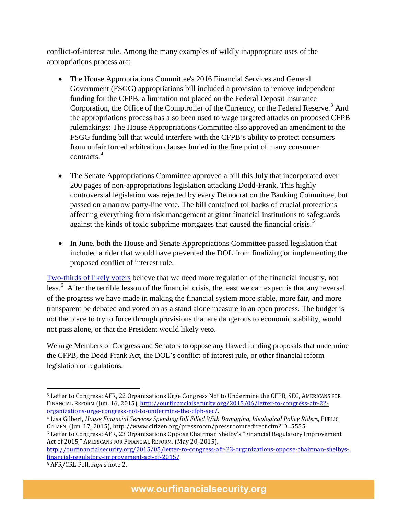conflict-of-interest rule. Among the many examples of wildly inappropriate uses of the appropriations process are:

- The House Appropriations Committee's 2016 Financial Services and General Government (FSGG) appropriations bill included a provision to remove independent funding for the CFPB, a limitation not placed on the Federal Deposit Insurance Corporation, the Office of the Comptroller of the Currency, or the Federal Reserve.<sup>[3](#page-1-0)</sup> And the appropriations process has also been used to wage targeted attacks on proposed CFPB rulemakings: The House Appropriations Committee also approved an amendment to the FSGG funding bill that would interfere with the CFPB's ability to protect consumers from unfair forced arbitration clauses buried in the fine print of many consumer contracts.[4](#page-1-1)
- The Senate Appropriations Committee approved a bill this July that incorporated over 200 pages of non-appropriations legislation attacking Dodd-Frank. This highly controversial legislation was rejected by every Democrat on the Banking Committee, but passed on a narrow party-line vote. The bill contained rollbacks of crucial protections affecting everything from risk management at giant financial institutions to safeguards against the kinds of toxic subprime mortgages that caused the financial crisis.<sup>[5](#page-1-2)</sup>
- In June, both the House and Senate Appropriations Committee passed legislation that included a rider that would have prevented the DOL from finalizing or implementing the proposed conflict of interest rule.

[Two-thirds of likely voters](http://ourfinancialsecurity.org/blogs/wp-content/ourfinancialsecurity.org/uploads/2015/07/presentation.AFR_.subset.070815.pdf) believe that we need more regulation of the financial industry, not less.<sup>[6](#page-1-3)</sup> After the terrible lesson of the financial crisis, the least we can expect is that any reversal of the progress we have made in making the financial system more stable, more fair, and more transparent be debated and voted on as a stand alone measure in an open process. The budget is not the place to try to force through provisions that are dangerous to economic stability, would not pass alone, or that the President would likely veto.

We urge Members of Congress and Senators to oppose any flawed funding proposals that undermine the CFPB, the Dodd-Frank Act, the DOL's conflict-of-interest rule, or other financial reform legislation or regulations.

l

<span id="page-1-0"></span><sup>3</sup> Letter to Congress: AFR, 22 Organizations Urge Congress Not to Undermine the CFPB, SEC, AMERICANS FOR FINANCIAL REFORM (Jun. 16, 2015), [http://ourfinancialsecurity.org/2015/06/letter-to-congress-afr-22](http://ourfinancialsecurity.org/2015/06/letter-to-congress-afr-22-organizations-urge-congress-not-to-undermine-the-cfpb-sec/) [organizations-urge-congress-not-to-undermine-the-cfpb-sec/.](http://ourfinancialsecurity.org/2015/06/letter-to-congress-afr-22-organizations-urge-congress-not-to-undermine-the-cfpb-sec/)

<span id="page-1-1"></span><sup>4</sup> Lisa Gilbert, *House Financial Services Spending Bill Filled With Damaging, Ideological Policy Riders*, PUBLIC CITIZEN, (Jun. 17, 2015), http://www.citizen.org/pressroom/pressroomredirect.cfm?ID=5555.

<span id="page-1-2"></span><sup>5</sup> Letter to Congress: AFR, 23 Organizations Oppose Chairman Shelby's "Financial Regulatory Improvement Act of 2015," AMERICANS FOR FINANCIAL REFORM, (May 20, 2015),

[http://ourfinancialsecurity.org/2015/05/letter-to-congress-afr-23-organizations-oppose-chairman-shelbys](http://ourfinancialsecurity.org/2015/05/letter-to-congress-afr-23-organizations-oppose-chairman-shelbys-financial-regulatory-improvement-act-of-2015/)[financial-regulatory-improvement-act-of-2015/.](http://ourfinancialsecurity.org/2015/05/letter-to-congress-afr-23-organizations-oppose-chairman-shelbys-financial-regulatory-improvement-act-of-2015/)

<span id="page-1-3"></span><sup>6</sup> AFR/CRL Poll, *supra* note 2.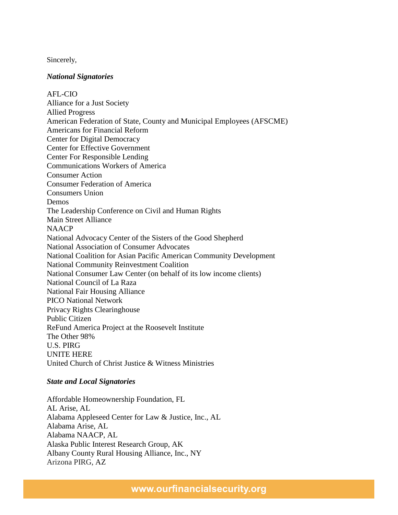Sincerely,

## *National Signatories*

AFL-CIO Alliance for a Just Society Allied Progress American Federation of State, County and Municipal Employees (AFSCME) Americans for Financial Reform Center for Digital Democracy Center for Effective Government Center For Responsible Lending Communications Workers of America Consumer Action Consumer Federation of America Consumers Union Demos The Leadership Conference on Civil and Human Rights Main Street Alliance **NAACP** National Advocacy Center of the Sisters of the Good Shepherd National Association of Consumer Advocates National Coalition for Asian Pacific American Community Development National Community Reinvestment Coalition National Consumer Law Center (on behalf of its low income clients) National Council of La Raza National Fair Housing Alliance PICO National Network Privacy Rights Clearinghouse Public Citizen ReFund America Project at the Roosevelt Institute The Other 98% U.S. PIRG UNITE HERE United Church of Christ Justice & Witness Ministries

## *State and Local Signatories*

Affordable Homeownership Foundation, FL AL Arise, AL Alabama Appleseed Center for Law & Justice, Inc., AL Alabama Arise, AL Alabama NAACP, AL Alaska Public Interest Research Group, AK Albany County Rural Housing Alliance, Inc., NY Arizona PIRG, AZ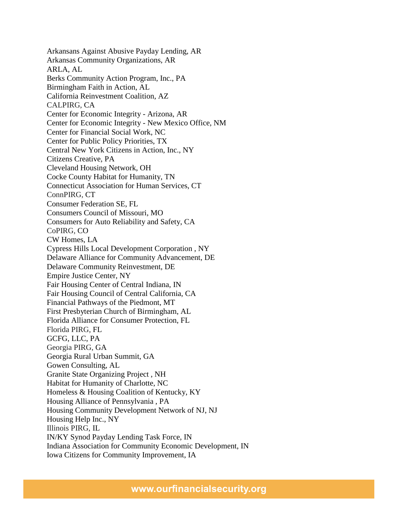Arkansans Against Abusive Payday Lending, AR Arkansas Community Organizations, AR ARLA, AL Berks Community Action Program, Inc., PA Birmingham Faith in Action, AL California Reinvestment Coalition, AZ CALPIRG, CA Center for Economic Integrity - Arizona, AR Center for Economic Integrity - New Mexico Office, NM Center for Financial Social Work, NC Center for Public Policy Priorities, TX Central New York Citizens in Action, Inc., NY Citizens Creative, PA Cleveland Housing Network, OH Cocke County Habitat for Humanity, TN Connecticut Association for Human Services, CT ConnPIRG, CT Consumer Federation SE, FL Consumers Council of Missouri, MO Consumers for Auto Reliability and Safety, CA CoPIRG, CO CW Homes, LA Cypress Hills Local Development Corporation , NY Delaware Alliance for Community Advancement, DE Delaware Community Reinvestment, DE Empire Justice Center, NY Fair Housing Center of Central Indiana, IN Fair Housing Council of Central California, CA Financial Pathways of the Piedmont, MT First Presbyterian Church of Birmingham, AL Florida Alliance for Consumer Protection, FL Florida PIRG, FL GCFG, LLC, PA Georgia PIRG, GA Georgia Rural Urban Summit, GA Gowen Consulting, AL Granite State Organizing Project , NH Habitat for Humanity of Charlotte, NC Homeless & Housing Coalition of Kentucky, KY Housing Alliance of Pennsylvania , PA Housing Community Development Network of NJ, NJ Housing Help Inc., NY Illinois PIRG, IL IN/KY Synod Payday Lending Task Force, IN Indiana Association for Community Economic Development, IN Iowa Citizens for Community Improvement, IA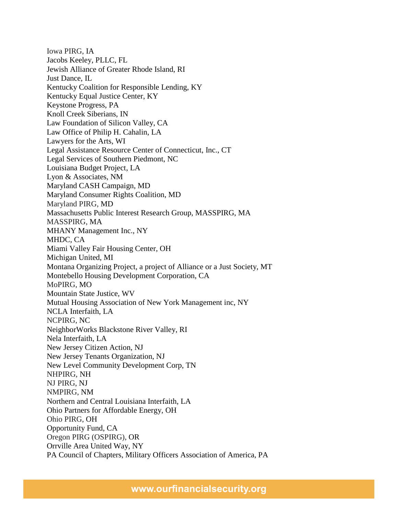Iowa PIRG, IA Jacobs Keeley, PLLC, FL Jewish Alliance of Greater Rhode Island, RI Just Dance, IL Kentucky Coalition for Responsible Lending, KY Kentucky Equal Justice Center, KY Keystone Progress, PA Knoll Creek Siberians, IN Law Foundation of Silicon Valley, CA Law Office of Philip H. Cahalin, LA Lawyers for the Arts, WI Legal Assistance Resource Center of Connecticut, Inc., CT Legal Services of Southern Piedmont, NC Louisiana Budget Project, LA Lyon & Associates, NM Maryland CASH Campaign, MD Maryland Consumer Rights Coalition, MD Maryland PIRG, MD Massachusetts Public Interest Research Group, MASSPIRG, MA MASSPIRG, MA MHANY Management Inc., NY MHDC, CA Miami Valley Fair Housing Center, OH Michigan United, MI Montana Organizing Project, a project of Alliance or a Just Society, MT Montebello Housing Development Corporation, CA MoPIRG, MO Mountain State Justice, WV Mutual Housing Association of New York Management inc, NY NCLA Interfaith, LA NCPIRG, NC NeighborWorks Blackstone River Valley, RI Nela Interfaith, LA New Jersey Citizen Action, NJ New Jersey Tenants Organization, NJ New Level Community Development Corp, TN NHPIRG, NH NJ PIRG, NJ NMPIRG, NM Northern and Central Louisiana Interfaith, LA Ohio Partners for Affordable Energy, OH Ohio PIRG, OH Opportunity Fund, CA Oregon PIRG (OSPIRG), OR Orrville Area United Way, NY PA Council of Chapters, Military Officers Association of America, PA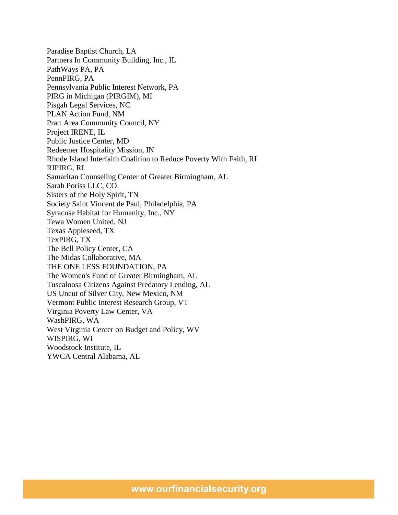Paradise Baptist Church, LA Partners In Community Building, Inc., IL PathWays PA, PA PennPIRG, PA Pennsylvania Public Interest Network, PA PIRG in Michigan (PIRGIM), MI Pisgah Legal Services, NC PLAN Action Fund, NM Pratt Area Community Council, NY Project IRENE, IL Public Justice Center, MD Redeemer Hospitality Mission, IN Rhode Island Interfaith Coalition to Reduce Poverty With Faith, RI RIPIRG, RI Samaritan Counseling Center of Greater Birmingham, AL Sarah Poriss LLC, CO Sisters of the Holy Spirit, TN Society Saint Vincent de Paul, Philadelphia, PA Syracuse Habitat for Humanity, Inc., NY Tewa Women United, NJ Texas Appleseed, TX TexPIRG, TX The Bell Policy Center, CA The Midas Collaborative, MA THE ONE LESS FOUNDATION, PA The Women's Fund of Greater Birmingham, AL Tuscaloosa Citizens Against Predatory Lending, AL US Uncut of Silver City, New Mexico, NM Vermont Public Interest Research Group, VT Virginia Poverty Law Center, VA WashPIRG, WA West Virginia Center on Budget and Policy, WV WISPIRG, WI Woodstock Institute, IL YWCA Central Alabama, AL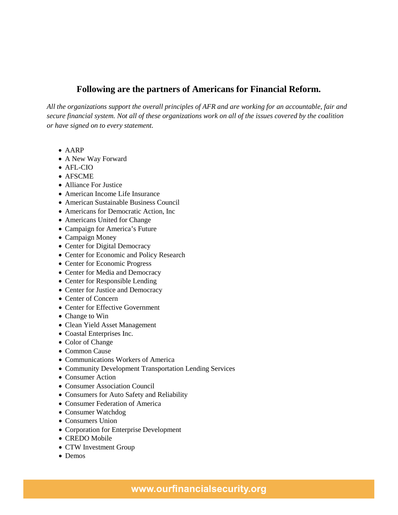# **Following are the partners of Americans for Financial Reform.**

*All the organizations support the overall principles of AFR and are working for an accountable, fair and secure financial system. Not all of these organizations work on all of the issues covered by the coalition or have signed on to every statement.*

- AARP
- A New Way Forward
- AFL-CIO
- AFSCME
- Alliance For Justice
- American Income Life Insurance
- American Sustainable Business Council
- Americans for Democratic Action, Inc.
- Americans United for Change
- Campaign for America's Future
- Campaign Money
- Center for Digital Democracy
- Center for Economic and Policy Research
- Center for Economic Progress
- Center for Media and Democracy
- Center for Responsible Lending
- Center for Justice and Democracy
- Center of Concern
- Center for Effective Government
- Change to Win
- Clean Yield Asset Management
- Coastal Enterprises Inc.
- Color of Change
- Common Cause
- Communications Workers of America
- Community Development Transportation Lending Services
- Consumer Action
- Consumer Association Council
- Consumers for Auto Safety and Reliability
- Consumer Federation of America
- Consumer Watchdog
- Consumers Union
- Corporation for Enterprise Development
- CREDO Mobile
- CTW Investment Group
- Demos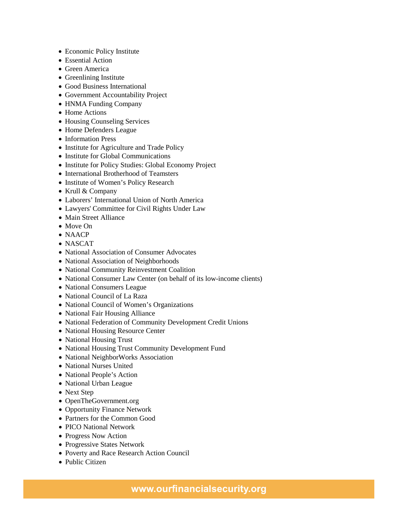- Economic Policy Institute
- Essential Action
- Green America
- Greenlining Institute
- Good Business International
- Government Accountability Project
- HNMA Funding Company
- Home Actions
- Housing Counseling Services
- Home Defenders League
- Information Press
- Institute for Agriculture and Trade Policy
- Institute for Global Communications
- Institute for Policy Studies: Global Economy Project
- International Brotherhood of Teamsters
- Institute of Women's Policy Research
- Krull & Company
- Laborers' International Union of North America
- Lawyers' Committee for Civil Rights Under Law
- Main Street Alliance
- Move On
- NAACP
- NASCAT
- National Association of Consumer Advocates
- National Association of Neighborhoods
- National Community Reinvestment Coalition
- National Consumer Law Center (on behalf of its low-income clients)
- National Consumers League
- National Council of La Raza
- National Council of Women's Organizations
- National Fair Housing Alliance
- National Federation of Community Development Credit Unions
- National Housing Resource Center
- National Housing Trust
- National Housing Trust Community Development Fund
- National NeighborWorks Association
- National Nurses United
- National People's Action
- National Urban League
- Next Step
- OpenTheGovernment.org
- Opportunity Finance Network
- Partners for the Common Good
- PICO National Network
- Progress Now Action
- Progressive States Network
- Poverty and Race Research Action Council
- Public Citizen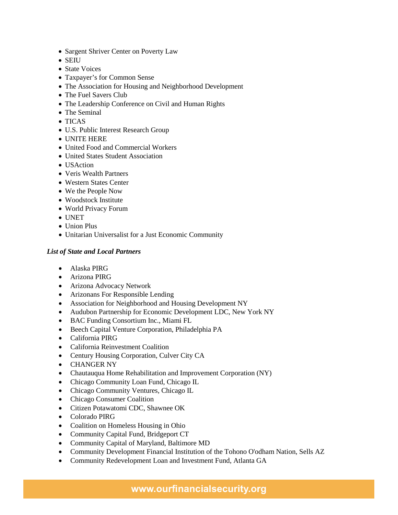- Sargent Shriver Center on Poverty Law
- SEIU
- State Voices
- Taxpayer's for Common Sense
- The Association for Housing and Neighborhood Development
- The Fuel Savers Club
- The Leadership Conference on Civil and Human Rights
- The Seminal
- TICAS
- U.S. Public Interest Research Group
- UNITE HERE
- United Food and Commercial Workers
- United States Student Association
- USAction
- Veris Wealth Partners
- Western States Center
- We the People Now
- Woodstock Institute
- World Privacy Forum
- UNET
- Union Plus
- Unitarian Universalist for a Just Economic Community

## *List of State and Local Partners*

- Alaska PIRG
- Arizona PIRG
- Arizona Advocacy Network
- Arizonans For Responsible Lending
- Association for Neighborhood and Housing Development NY
- Audubon Partnership for Economic Development LDC, New York NY
- BAC Funding Consortium Inc., Miami FL
- Beech Capital Venture Corporation, Philadelphia PA
- California PIRG
- California Reinvestment Coalition
- Century Housing Corporation, Culver City CA
- CHANGER NY
- Chautauqua Home Rehabilitation and Improvement Corporation (NY)
- Chicago Community Loan Fund, Chicago IL
- Chicago Community Ventures, Chicago IL
- Chicago Consumer Coalition
- Citizen Potawatomi CDC, Shawnee OK
- Colorado PIRG
- Coalition on Homeless Housing in Ohio
- Community Capital Fund, Bridgeport CT
- Community Capital of Maryland, Baltimore MD
- Community Development Financial Institution of the Tohono O'odham Nation, Sells AZ
- Community Redevelopment Loan and Investment Fund, Atlanta GA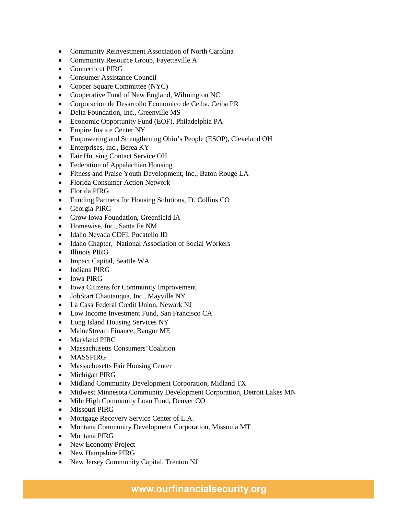- Community Reinvestment Association of North Carolina
- Community Resource Group, Fayetteville A
- Connecticut PIRG
- Consumer Assistance Council
- Cooper Square Committee (NYC)
- Cooperative Fund of New England, Wilmington NC
- Corporacion de Desarrollo Economico de Ceiba, Ceiba PR
- Delta Foundation, Inc., Greenville MS
- Economic Opportunity Fund (EOF), Philadelphia PA
- Empire Justice Center NY
- Empowering and Strengthening Ohio's People (ESOP), Cleveland OH
- Enterprises, Inc., Berea KY
- Fair Housing Contact Service OH
- Federation of Appalachian Housing
- Fitness and Praise Youth Development, Inc., Baton Rouge LA
- Florida Consumer Action Network
- Florida PIRG
- Funding Partners for Housing Solutions, Ft. Collins CO
- Georgia PIRG
- Grow Iowa Foundation, Greenfield IA
- Homewise, Inc., Santa Fe NM
- Idaho Nevada CDFI, Pocatello ID
- Idaho Chapter, National Association of Social Workers
- Illinois PIRG
- Impact Capital, Seattle WA
- Indiana PIRG
- Iowa PIRG
- Iowa Citizens for Community Improvement
- JobStart Chautauqua, Inc., Mayville NY
- La Casa Federal Credit Union, Newark NJ
- Low Income Investment Fund, San Francisco CA
- Long Island Housing Services NY
- MaineStream Finance, Bangor ME
- Maryland PIRG
- Massachusetts Consumers' Coalition
- MASSPIRG
- Massachusetts Fair Housing Center
- Michigan PIRG
- Midland Community Development Corporation, Midland TX
- Midwest Minnesota Community Development Corporation, Detroit Lakes MN
- Mile High Community Loan Fund, Denver CO
- Missouri PIRG
- Mortgage Recovery Service Center of L.A.
- Montana Community Development Corporation, Missoula MT
- Montana PIRG
- New Economy Project
- New Hampshire PIRG
- New Jersey Community Capital, Trenton NJ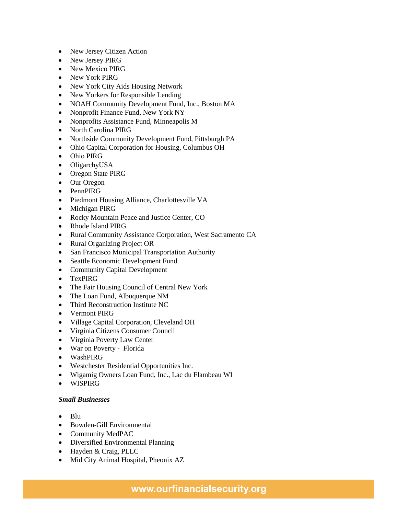- New Jersey Citizen Action
- New Jersey PIRG
- New Mexico PIRG
- New York PIRG
- New York City Aids Housing Network
- New Yorkers for Responsible Lending
- NOAH Community Development Fund, Inc., Boston MA
- Nonprofit Finance Fund, New York NY
- Nonprofits Assistance Fund, Minneapolis M
- North Carolina PIRG
- Northside Community Development Fund, Pittsburgh PA
- Ohio Capital Corporation for Housing, Columbus OH
- Ohio PIRG
- OligarchyUSA
- Oregon State PIRG
- Our Oregon
- PennPIRG
- Piedmont Housing Alliance, Charlottesville VA
- Michigan PIRG
- Rocky Mountain Peace and Justice Center, CO
- Rhode Island PIRG
- Rural Community Assistance Corporation, West Sacramento CA
- Rural Organizing Project OR
- San Francisco Municipal Transportation Authority
- Seattle Economic Development Fund
- Community Capital Development
- TexPIRG
- The Fair Housing Council of Central New York
- The Loan Fund, Albuquerque NM
- Third Reconstruction Institute NC
- Vermont PIRG
- Village Capital Corporation, Cleveland OH
- Virginia Citizens Consumer Council
- Virginia Poverty Law Center
- War on Poverty Florida
- WashPIRG
- Westchester Residential Opportunities Inc.
- Wigamig Owners Loan Fund, Inc., Lac du Flambeau WI
- WISPIRG

## *Small Businesses*

- Blu
- Bowden-Gill Environmental
- Community MedPAC
- Diversified Environmental Planning
- Hayden & Craig, PLLC
- Mid City Animal Hospital, Pheonix AZ